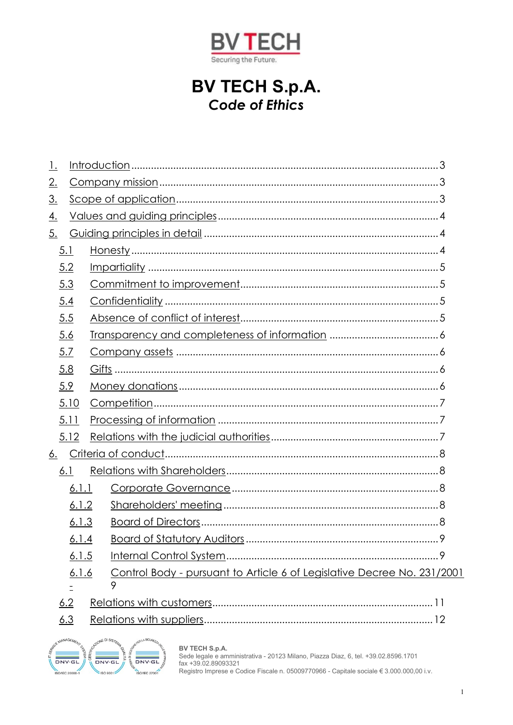

# **BV TECH S.p.A.** Code of Ethics

| <u> 1.</u> |          |  |                                                                         |  |
|------------|----------|--|-------------------------------------------------------------------------|--|
| 2.         |          |  |                                                                         |  |
| <u>3.</u>  |          |  |                                                                         |  |
| <u>4.</u>  |          |  |                                                                         |  |
| 5.         |          |  |                                                                         |  |
|            | 5.1      |  |                                                                         |  |
|            | 5.2      |  |                                                                         |  |
|            | 5.3      |  |                                                                         |  |
|            | 5.4      |  |                                                                         |  |
|            | 5.5      |  |                                                                         |  |
|            | 5.6      |  |                                                                         |  |
|            | 5.7      |  |                                                                         |  |
|            | 5.8      |  |                                                                         |  |
|            | 5.9      |  |                                                                         |  |
|            | 5.10     |  |                                                                         |  |
|            | 5.11     |  |                                                                         |  |
|            | 5.12     |  |                                                                         |  |
|            |          |  |                                                                         |  |
|            | 6.1      |  |                                                                         |  |
|            | 6.1.1    |  |                                                                         |  |
|            | 6.1.2    |  |                                                                         |  |
|            | 6.1.3    |  |                                                                         |  |
|            | 6.1.4    |  |                                                                         |  |
|            | 6.1.5    |  |                                                                         |  |
|            | 6.1.6    |  | Control Body - pursuant to Article 6 of Legislative Decree No. 231/2001 |  |
|            | $\equiv$ |  | 9                                                                       |  |
|            | 6.2      |  |                                                                         |  |
|            | 6.3      |  |                                                                         |  |



**BV TECH S.p.A.**<br>Sede legale e amministrativa - 20123 Milano, Piazza Diaz, 6, tel. +39.02.8596.1701<br>fax +39.02.89093321<br>Registro Imprese e Codice Fiscale n. 05009770966 - Capitale sociale € 3.000.000,00 i.v.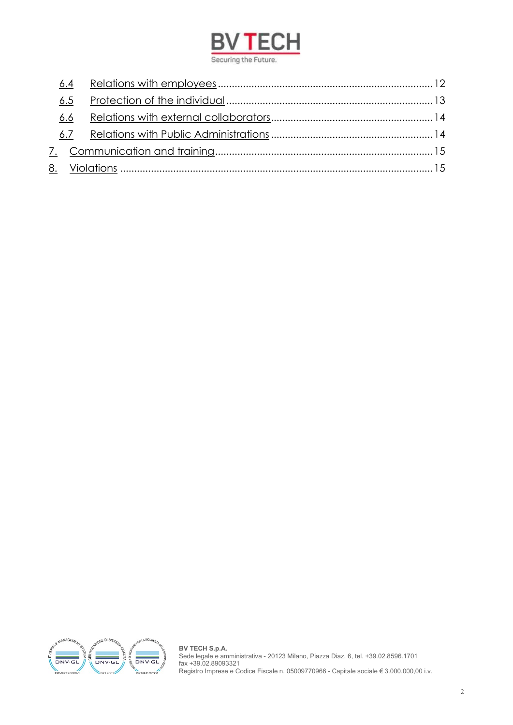

<span id="page-1-0"></span>

| 6.4<br>6.5<br>6.6 |  |
|-------------------|--|



**BV TECH S.p.A.** Sede legale e amministrativa - 20123 Milano, Piazza Diaz, 6, tel. +39.02.8596.1701 fax +39.02.89093321 Registro Imprese e Codice Fiscale n. 05009770966 - Capitale sociale € 3.000.000,00 i.v.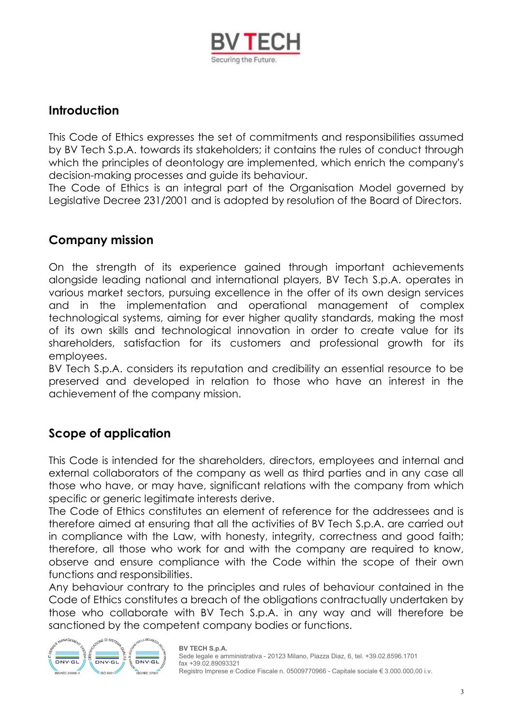

# **Introduction**

This Code of Ethics expresses the set of commitments and responsibilities assumed by BV Tech S.p.A. towards its stakeholders; it contains the rules of conduct through which the principles of deontology are implemented, which enrich the company's decision-making processes and guide its behaviour.

<span id="page-2-0"></span>The Code of Ethics is an integral part of the Organisation Model governed by Legislative Decree 231/2001 and is adopted by resolution of the Board of Directors.

### **Company mission**

On the strength of its experience gained through important achievements alongside leading national and international players, BV Tech S.p.A. operates in various market sectors, pursuing excellence in the offer of its own design services and in the implementation and operational management of complex technological systems, aiming for ever higher quality standards, making the most of its own skills and technological innovation in order to create value for its shareholders, satisfaction for its customers and professional growth for its employees.

BV Tech S.p.A. considers its reputation and credibility an essential resource to be preserved and developed in relation to those who have an interest in the achievement of the company mission.

# <span id="page-2-1"></span>**Scope of application**

This Code is intended for the shareholders, directors, employees and internal and external collaborators of the company as well as third parties and in any case all those who have, or may have, significant relations with the company from which specific or generic legitimate interests derive.

The Code of Ethics constitutes an element of reference for the addressees and is therefore aimed at ensuring that all the activities of BV Tech S.p.A. are carried out in compliance with the Law, with honesty, integrity, correctness and good faith; therefore, all those who work for and with the company are required to know, observe and ensure compliance with the Code within the scope of their own functions and responsibilities.

Any behaviour contrary to the principles and rules of behaviour contained in the Code of Ethics constitutes a breach of the obligations contractually undertaken by those who collaborate with BV Tech S.p.A. in any way and will therefore be sanctioned by the competent company bodies or functions.

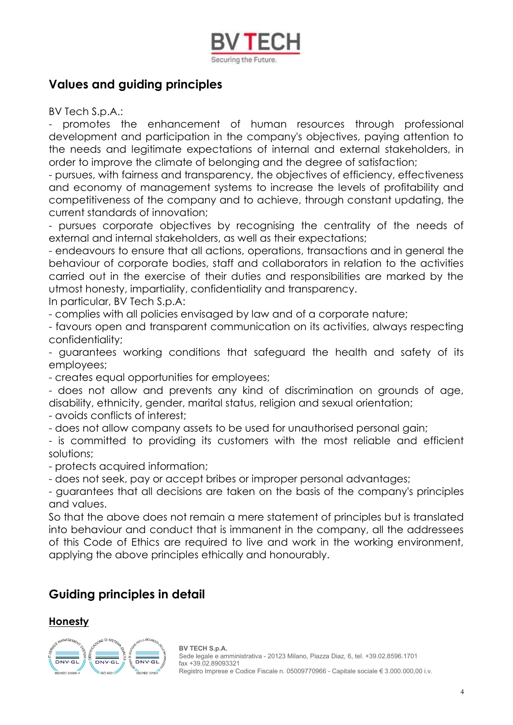

# <span id="page-3-0"></span>**Values and guiding principles**

BV Tech S.p.A.:

- promotes the enhancement of human resources through professional development and participation in the company's objectives, paying attention to the needs and legitimate expectations of internal and external stakeholders, in order to improve the climate of belonging and the degree of satisfaction;

- pursues, with fairness and transparency, the objectives of efficiency, effectiveness and economy of management systems to increase the levels of profitability and competitiveness of the company and to achieve, through constant updating, the current standards of innovation;

- pursues corporate objectives by recognising the centrality of the needs of external and internal stakeholders, as well as their expectations;

- endeavours to ensure that all actions, operations, transactions and in general the behaviour of corporate bodies, staff and collaborators in relation to the activities carried out in the exercise of their duties and responsibilities are marked by the utmost honesty, impartiality, confidentiality and transparency.

In particular, BV Tech S.p.A:

- complies with all policies envisaged by law and of a corporate nature;

- favours open and transparent communication on its activities, always respecting confidentiality;

- guarantees working conditions that safeguard the health and safety of its employees;

- creates equal opportunities for employees;

- does not allow and prevents any kind of discrimination on grounds of age, disability, ethnicity, gender, marital status, religion and sexual orientation;

- avoids conflicts of interest;
- does not allow company assets to be used for unauthorised personal gain;

- is committed to providing its customers with the most reliable and efficient solutions;

- protects acquired information;

- does not seek, pay or accept bribes or improper personal advantages;

- guarantees that all decisions are taken on the basis of the company's principles and values.

So that the above does not remain a mere statement of principles but is translated into behaviour and conduct that is immanent in the company, all the addressees of this Code of Ethics are required to live and work in the working environment, applying the above principles ethically and honourably.

# <span id="page-3-1"></span>**Guiding principles in detail**

### <span id="page-3-2"></span>**Honesty**

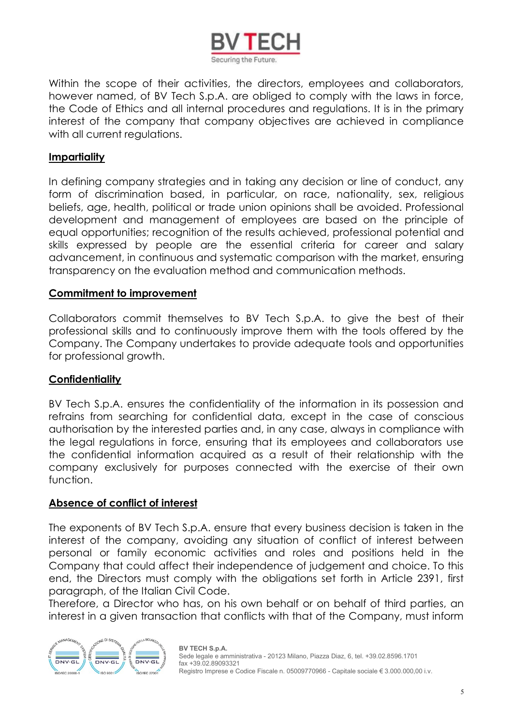

Within the scope of their activities, the directors, employees and collaborators, however named, of BV Tech S.p.A. are obliged to comply with the laws in force, the Code of Ethics and all internal procedures and regulations. It is in the primary interest of the company that company objectives are achieved in compliance with all current reaulations.

### <span id="page-4-0"></span>**Impartiality**

In defining company strategies and in taking any decision or line of conduct, any form of discrimination based, in particular, on race, nationality, sex, religious beliefs, age, health, political or trade union opinions shall be avoided. Professional development and management of employees are based on the principle of equal opportunities; recognition of the results achieved, professional potential and skills expressed by people are the essential criteria for career and salary advancement, in continuous and systematic comparison with the market, ensuring transparency on the evaluation method and communication methods.

### <span id="page-4-1"></span>**Commitment to improvement**

Collaborators commit themselves to BV Tech S.p.A. to give the best of their professional skills and to continuously improve them with the tools offered by the Company. The Company undertakes to provide adequate tools and opportunities for professional growth.

### <span id="page-4-2"></span>**Confidentiality**

BV Tech S.p.A. ensures the confidentiality of the information in its possession and refrains from searching for confidential data, except in the case of conscious authorisation by the interested parties and, in any case, always in compliance with the legal regulations in force, ensuring that its employees and collaborators use the confidential information acquired as a result of their relationship with the company exclusively for purposes connected with the exercise of their own function.

### <span id="page-4-3"></span>**Absence of conflict of interest**

The exponents of BV Tech S.p.A. ensure that every business decision is taken in the interest of the company, avoiding any situation of conflict of interest between personal or family economic activities and roles and positions held in the Company that could affect their independence of judgement and choice. To this end, the Directors must comply with the obligations set forth in Article 2391, first paragraph, of the Italian Civil Code.

Therefore, a Director who has, on his own behalf or on behalf of third parties, an interest in a given transaction that conflicts with that of the Company, must inform

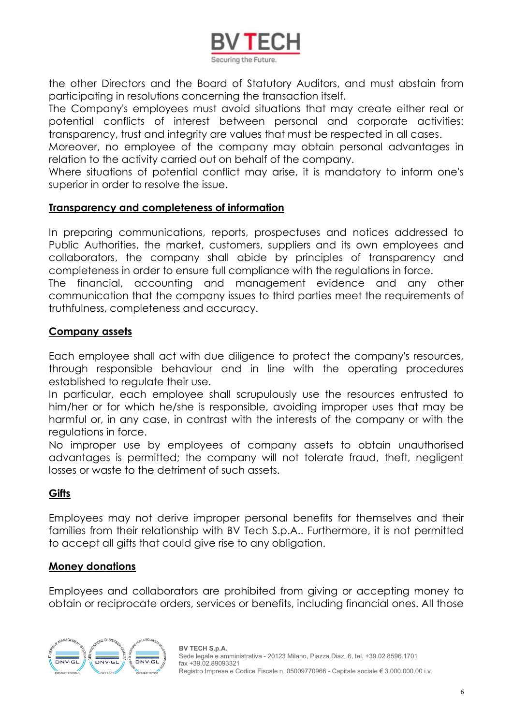

the other Directors and the Board of Statutory Auditors, and must abstain from participating in resolutions concerning the transaction itself.

The Company's employees must avoid situations that may create either real or potential conflicts of interest between personal and corporate activities: transparency, trust and integrity are values that must be respected in all cases.

Moreover, no employee of the company may obtain personal advantages in relation to the activity carried out on behalf of the company.

Where situations of potential conflict may arise, it is mandatory to inform one's superior in order to resolve the issue.

### <span id="page-5-0"></span>**Transparency and completeness of information**

In preparing communications, reports, prospectuses and notices addressed to Public Authorities, the market, customers, suppliers and its own employees and collaborators, the company shall abide by principles of transparency and completeness in order to ensure full compliance with the regulations in force. The financial, accounting and management evidence and any other communication that the company issues to third parties meet the requirements of truthfulness, completeness and accuracy.

### <span id="page-5-1"></span>**Company assets**

Each employee shall act with due diligence to protect the company's resources, through responsible behaviour and in line with the operating procedures established to regulate their use.

In particular, each employee shall scrupulously use the resources entrusted to him/her or for which he/she is responsible, avoiding improper uses that may be harmful or, in any case, in contrast with the interests of the company or with the regulations in force.

No improper use by employees of company assets to obtain unauthorised advantages is permitted; the company will not tolerate fraud, theft, negligent losses or waste to the detriment of such assets.

### <span id="page-5-2"></span>**Gifts**

Employees may not derive improper personal benefits for themselves and their families from their relationship with BV Tech S.p.A.. Furthermore, it is not permitted to accept all gifts that could give rise to any obligation.

### <span id="page-5-3"></span>**Money donations**

Employees and collaborators are prohibited from giving or accepting money to obtain or reciprocate orders, services or benefits, including financial ones. All those

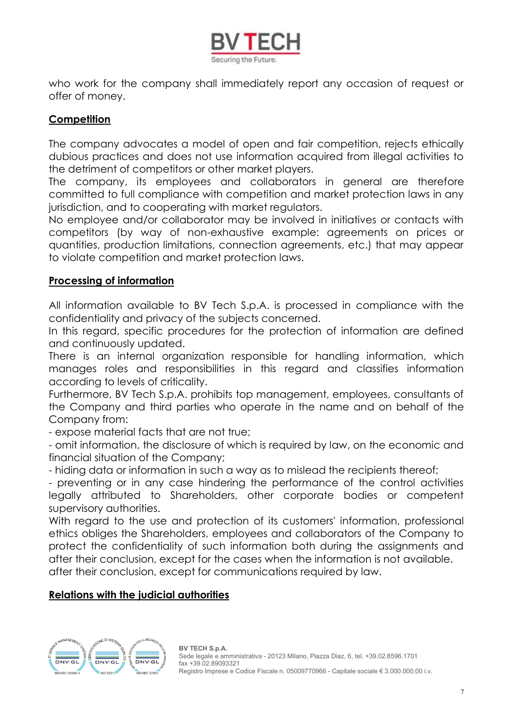

who work for the company shall immediately report any occasion of request or offer of money.

### <span id="page-6-0"></span>**Competition**

The company advocates a model of open and fair competition, rejects ethically dubious practices and does not use information acquired from illegal activities to the detriment of competitors or other market players.

The company, its employees and collaborators in general are therefore committed to full compliance with competition and market protection laws in any jurisdiction, and to cooperating with market regulators.

No employee and/or collaborator may be involved in initiatives or contacts with competitors (by way of non-exhaustive example: agreements on prices or quantities, production limitations, connection agreements, etc.) that may appear to violate competition and market protection laws.

### <span id="page-6-1"></span>**Processing of information**

All information available to BV Tech S.p.A. is processed in compliance with the confidentiality and privacy of the subjects concerned.

In this regard, specific procedures for the protection of information are defined and continuously updated.

There is an internal organization responsible for handling information, which manages roles and responsibilities in this regard and classifies information according to levels of criticality.

Furthermore, BV Tech S.p.A. prohibits top management, employees, consultants of the Company and third parties who operate in the name and on behalf of the Company from:

- expose material facts that are not true;

- omit information, the disclosure of which is required by law, on the economic and financial situation of the Company;

- hiding data or information in such a way as to mislead the recipients thereof;

- preventing or in any case hindering the performance of the control activities legally attributed to Shareholders, other corporate bodies or competent supervisory authorities.

With regard to the use and protection of its customers' information, professional ethics obliges the Shareholders, employees and collaborators of the Company to protect the confidentiality of such information both during the assignments and after their conclusion, except for the cases when the information is not available. after their conclusion, except for communications required by law.

### <span id="page-6-2"></span>**Relations with the judicial authorities**

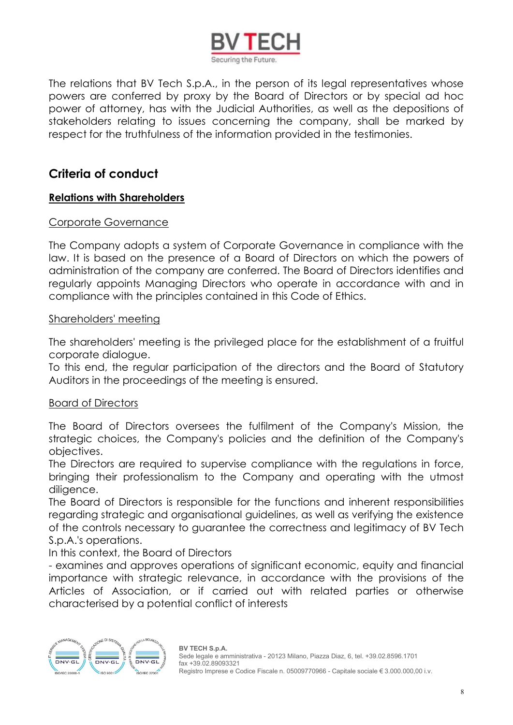

The relations that BV Tech S.p.A., in the person of its legal representatives whose powers are conferred by proxy by the Board of Directors or by special ad hoc power of attorney, has with the Judicial Authorities, as well as the depositions of stakeholders relating to issues concerning the company, shall be marked by respect for the truthfulness of the information provided in the testimonies.

# <span id="page-7-0"></span>**Criteria of conduct**

### <span id="page-7-1"></span>**Relations with Shareholders**

### <span id="page-7-2"></span>Corporate Governance

The Company adopts a system of Corporate Governance in compliance with the law. It is based on the presence of a Board of Directors on which the powers of administration of the company are conferred. The Board of Directors identifies and regularly appoints Managing Directors who operate in accordance with and in compliance with the principles contained in this Code of Ethics.

### <span id="page-7-3"></span>Shareholders' meeting

The shareholders' meeting is the privileged place for the establishment of a fruitful corporate dialogue.

To this end, the regular participation of the directors and the Board of Statutory Auditors in the proceedings of the meeting is ensured.

### <span id="page-7-4"></span>Board of Directors

The Board of Directors oversees the fulfilment of the Company's Mission, the strategic choices, the Company's policies and the definition of the Company's objectives.

The Directors are required to supervise compliance with the regulations in force, bringing their professionalism to the Company and operating with the utmost diligence.

The Board of Directors is responsible for the functions and inherent responsibilities regarding strategic and organisational guidelines, as well as verifying the existence of the controls necessary to guarantee the correctness and legitimacy of BV Tech S.p.A.'s operations.

In this context, the Board of Directors

- examines and approves operations of significant economic, equity and financial importance with strategic relevance, in accordance with the provisions of the Articles of Association, or if carried out with related parties or otherwise characterised by a potential conflict of interests

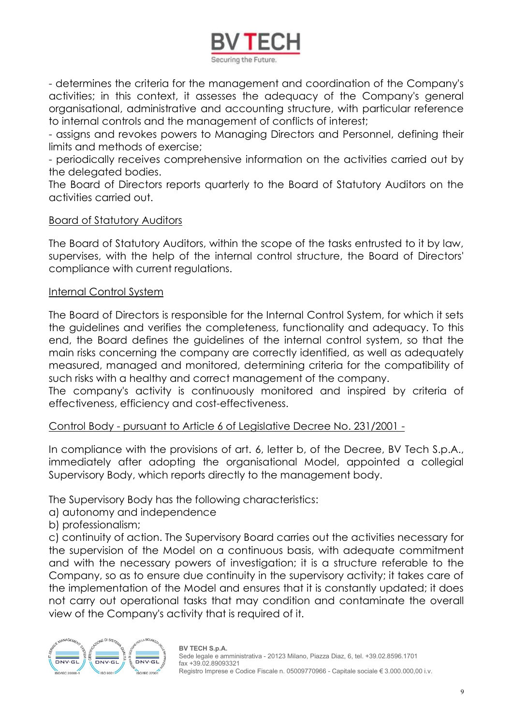

- determines the criteria for the management and coordination of the Company's activities; in this context, it assesses the adequacy of the Company's general organisational, administrative and accounting structure, with particular reference to internal controls and the management of conflicts of interest;

- assigns and revokes powers to Managing Directors and Personnel, defining their limits and methods of exercise;

- periodically receives comprehensive information on the activities carried out by the delegated bodies.

The Board of Directors reports quarterly to the Board of Statutory Auditors on the activities carried out.

### <span id="page-8-0"></span>Board of Statutory Auditors

The Board of Statutory Auditors, within the scope of the tasks entrusted to it by law, supervises, with the help of the internal control structure, the Board of Directors' compliance with current regulations.

### <span id="page-8-1"></span>Internal Control System

The Board of Directors is responsible for the Internal Control System, for which it sets the guidelines and verifies the completeness, functionality and adequacy. To this end, the Board defines the guidelines of the internal control system, so that the main risks concerning the company are correctly identified, as well as adequately measured, managed and monitored, determining criteria for the compatibility of such risks with a healthy and correct management of the company.

The company's activity is continuously monitored and inspired by criteria of effectiveness, efficiency and cost-effectiveness.

### <span id="page-8-2"></span>Control Body - pursuant to Article 6 of Legislative Decree No. 231/2001 -

In compliance with the provisions of art. 6, letter b, of the Decree, BV Tech S.p.A., immediately after adopting the organisational Model, appointed a collegial Supervisory Body, which reports directly to the management body.

The Supervisory Body has the following characteristics:

a) autonomy and independence

b) professionalism;

c) continuity of action. The Supervisory Board carries out the activities necessary for the supervision of the Model on a continuous basis, with adequate commitment and with the necessary powers of investigation; it is a structure referable to the Company, so as to ensure due continuity in the supervisory activity; it takes care of the implementation of the Model and ensures that it is constantly updated; it does not carry out operational tasks that may condition and contaminate the overall view of the Company's activity that is required of it.

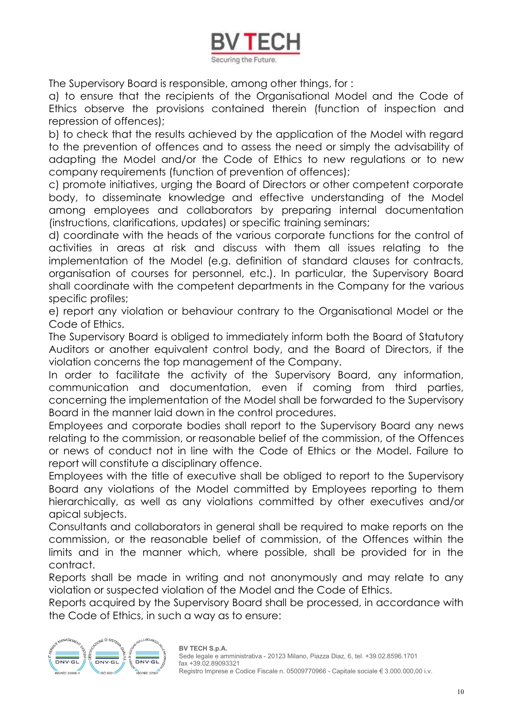

The Supervisory Board is responsible, among other things, for :

a) to ensure that the recipients of the Organisational Model and the Code of Ethics observe the provisions contained therein (function of inspection and repression of offences);

b) to check that the results achieved by the application of the Model with regard to the prevention of offences and to assess the need or simply the advisability of adapting the Model and/or the Code of Ethics to new regulations or to new company requirements (function of prevention of offences);

c) promote initiatives, urging the Board of Directors or other competent corporate body, to disseminate knowledge and effective understanding of the Model among employees and collaborators by preparing internal documentation (instructions, clarifications, updates) or specific training seminars;

d) coordinate with the heads of the various corporate functions for the control of activities in areas at risk and discuss with them all issues relating to the implementation of the Model (e.g. definition of standard clauses for contracts, organisation of courses for personnel, etc.). In particular, the Supervisory Board shall coordinate with the competent departments in the Company for the various specific profiles;

e) report any violation or behaviour contrary to the Organisational Model or the Code of Ethics.

The Supervisory Board is obliged to immediately inform both the Board of Statutory Auditors or another equivalent control body, and the Board of Directors, if the violation concerns the top management of the Company.

In order to facilitate the activity of the Supervisory Board, any information, communication and documentation, even if coming from third parties, concerning the implementation of the Model shall be forwarded to the Supervisory Board in the manner laid down in the control procedures.

Employees and corporate bodies shall report to the Supervisory Board any news relating to the commission, or reasonable belief of the commission, of the Offences or news of conduct not in line with the Code of Ethics or the Model. Failure to report will constitute a disciplinary offence.

Employees with the title of executive shall be obliged to report to the Supervisory Board any violations of the Model committed by Employees reporting to them hierarchically, as well as any violations committed by other executives and/or apical subjects.

Consultants and collaborators in general shall be required to make reports on the commission, or the reasonable belief of commission, of the Offences within the limits and in the manner which, where possible, shall be provided for in the contract.

Reports shall be made in writing and not anonymously and may relate to any violation or suspected violation of the Model and the Code of Ethics.

Reports acquired by the Supervisory Board shall be processed, in accordance with the Code of Ethics, in such a way as to ensure:

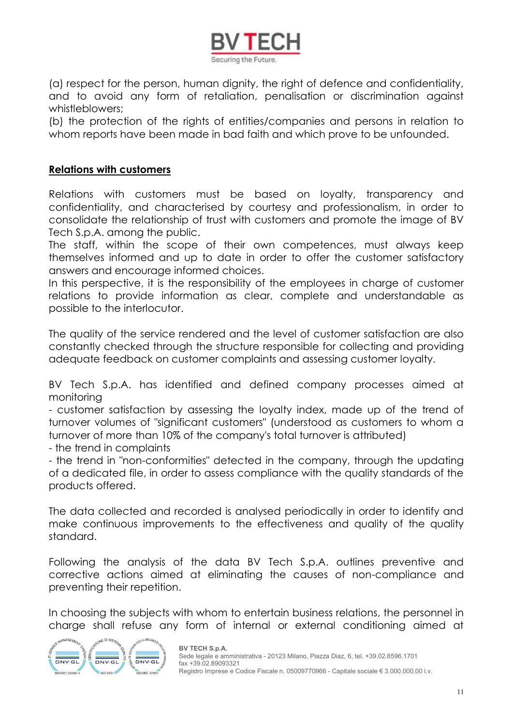

(a) respect for the person, human dignity, the right of defence and confidentiality, and to avoid any form of retaliation, penalisation or discrimination against whistleblowers;

(b) the protection of the rights of entities/companies and persons in relation to whom reports have been made in bad faith and which prove to be unfounded.

### <span id="page-10-0"></span>**Relations with customers**

Relations with customers must be based on loyalty, transparency and confidentiality, and characterised by courtesy and professionalism, in order to consolidate the relationship of trust with customers and promote the image of BV Tech S.p.A. among the public.

The staff, within the scope of their own competences, must always keep themselves informed and up to date in order to offer the customer satisfactory answers and encourage informed choices.

In this perspective, it is the responsibility of the employees in charge of customer relations to provide information as clear, complete and understandable as possible to the interlocutor.

The quality of the service rendered and the level of customer satisfaction are also constantly checked through the structure responsible for collecting and providing adequate feedback on customer complaints and assessing customer loyalty.

BV Tech S.p.A. has identified and defined company processes aimed at monitoring

- customer satisfaction by assessing the loyalty index, made up of the trend of turnover volumes of "significant customers" (understood as customers to whom a turnover of more than 10% of the company's total turnover is attributed)

- the trend in complaints

- the trend in "non-conformities" detected in the company, through the updating of a dedicated file, in order to assess compliance with the quality standards of the products offered.

The data collected and recorded is analysed periodically in order to identify and make continuous improvements to the effectiveness and quality of the quality standard.

Following the analysis of the data BV Tech S.p.A. outlines preventive and corrective actions aimed at eliminating the causes of non-compliance and preventing their repetition.

In choosing the subjects with whom to entertain business relations, the personnel in charge shall refuse any form of internal or external conditioning aimed at

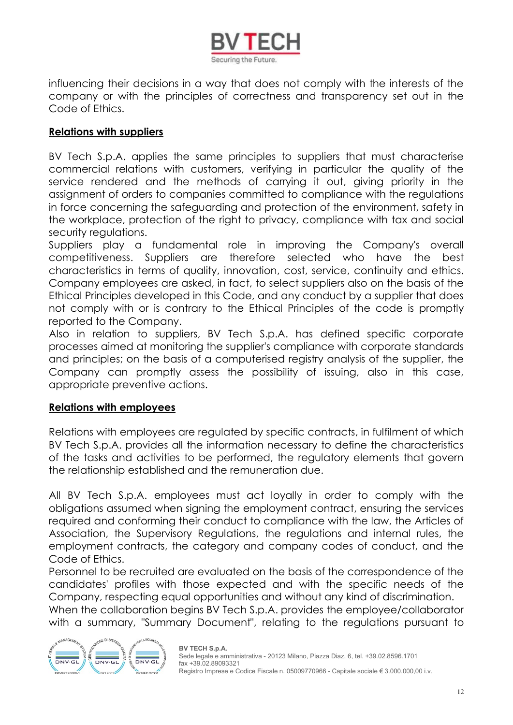

influencing their decisions in a way that does not comply with the interests of the company or with the principles of correctness and transparency set out in the Code of Ethics.

### <span id="page-11-0"></span>**Relations with suppliers**

BV Tech S.p.A. applies the same principles to suppliers that must characterise commercial relations with customers, verifying in particular the quality of the service rendered and the methods of carrying it out, giving priority in the assignment of orders to companies committed to compliance with the regulations in force concerning the safeguarding and protection of the environment, safety in the workplace, protection of the right to privacy, compliance with tax and social security regulations.

Suppliers play a fundamental role in improving the Company's overall competitiveness. Suppliers are therefore selected who have the best characteristics in terms of quality, innovation, cost, service, continuity and ethics. Company employees are asked, in fact, to select suppliers also on the basis of the Ethical Principles developed in this Code, and any conduct by a supplier that does not comply with or is contrary to the Ethical Principles of the code is promptly reported to the Company.

Also in relation to suppliers, BV Tech S.p.A. has defined specific corporate processes aimed at monitoring the supplier's compliance with corporate standards and principles; on the basis of a computerised registry analysis of the supplier, the Company can promptly assess the possibility of issuing, also in this case, appropriate preventive actions.

### <span id="page-11-1"></span>**Relations with employees**

Relations with employees are regulated by specific contracts, in fulfilment of which BV Tech S.p.A. provides all the information necessary to define the characteristics of the tasks and activities to be performed, the regulatory elements that govern the relationship established and the remuneration due.

All BV Tech S.p.A. employees must act loyally in order to comply with the obligations assumed when signing the employment contract, ensuring the services required and conforming their conduct to compliance with the law, the Articles of Association, the Supervisory Regulations, the regulations and internal rules, the employment contracts, the category and company codes of conduct, and the Code of Ethics.

Personnel to be recruited are evaluated on the basis of the correspondence of the candidates' profiles with those expected and with the specific needs of the Company, respecting equal opportunities and without any kind of discrimination.

When the collaboration begins BV Tech S.p.A. provides the employee/collaborator with a summary, "Summary Document", relating to the regulations pursuant to

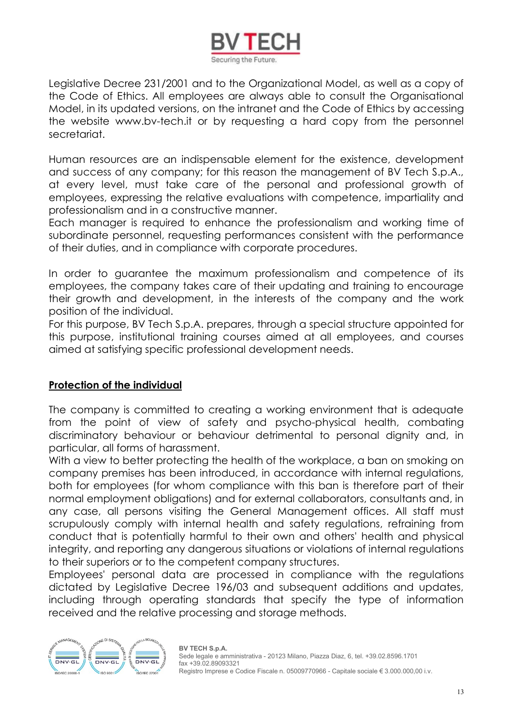

Legislative Decree 231/2001 and to the Organizational Model, as well as a copy of the Code of Ethics. All employees are always able to consult the Organisational Model, in its updated versions, on the intranet and the Code of Ethics by accessing the website www.bv-tech.it or by requesting a hard copy from the personnel secretariat.

Human resources are an indispensable element for the existence, development and success of any company; for this reason the management of BV Tech S.p.A., at every level, must take care of the personal and professional growth of employees, expressing the relative evaluations with competence, impartiality and professionalism and in a constructive manner.

Each manager is required to enhance the professionalism and working time of subordinate personnel, requesting performances consistent with the performance of their duties, and in compliance with corporate procedures.

In order to guarantee the maximum professionalism and competence of its employees, the company takes care of their updating and training to encourage their growth and development, in the interests of the company and the work position of the individual.

For this purpose, BV Tech S.p.A. prepares, through a special structure appointed for this purpose, institutional training courses aimed at all employees, and courses aimed at satisfying specific professional development needs.

### <span id="page-12-0"></span>**Protection of the individual**

The company is committed to creating a working environment that is adequate from the point of view of safety and psycho-physical health, combating discriminatory behaviour or behaviour detrimental to personal dignity and, in particular, all forms of harassment.

With a view to better protecting the health of the workplace, a ban on smoking on company premises has been introduced, in accordance with internal regulations, both for employees (for whom compliance with this ban is therefore part of their normal employment obligations) and for external collaborators, consultants and, in any case, all persons visiting the General Management offices. All staff must scrupulously comply with internal health and safety regulations, refraining from conduct that is potentially harmful to their own and others' health and physical integrity, and reporting any dangerous situations or violations of internal regulations to their superiors or to the competent company structures.

Employees' personal data are processed in compliance with the regulations dictated by Legislative Decree 196/03 and subsequent additions and updates, including through operating standards that specify the type of information received and the relative processing and storage methods.

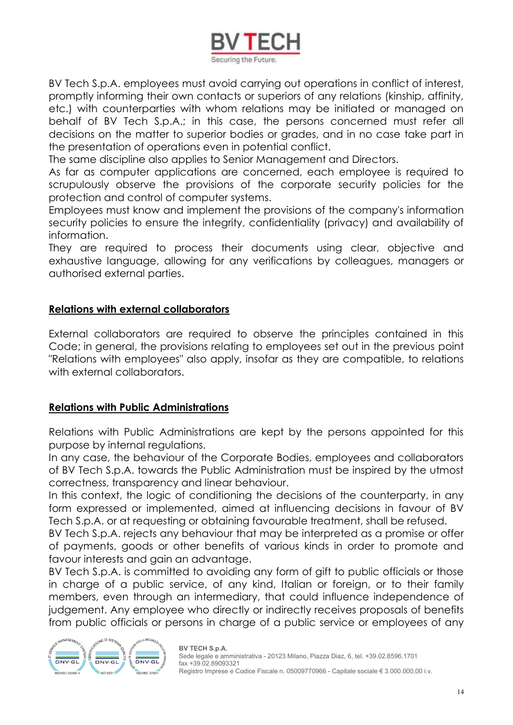

BV Tech S.p.A. employees must avoid carrying out operations in conflict of interest, promptly informing their own contacts or superiors of any relations (kinship, affinity, etc.) with counterparties with whom relations may be initiated or managed on behalf of BV Tech S.p.A.; in this case, the persons concerned must refer all decisions on the matter to superior bodies or grades, and in no case take part in the presentation of operations even in potential conflict.

The same discipline also applies to Senior Management and Directors.

As far as computer applications are concerned, each employee is required to scrupulously observe the provisions of the corporate security policies for the protection and control of computer systems.

Employees must know and implement the provisions of the company's information security policies to ensure the integrity, confidentiality (privacy) and availability of information.

They are required to process their documents using clear, objective and exhaustive language, allowing for any verifications by colleagues, managers or authorised external parties.

### <span id="page-13-0"></span>**Relations with external collaborators**

External collaborators are required to observe the principles contained in this Code; in general, the provisions relating to employees set out in the previous point "Relations with employees" also apply, insofar as they are compatible, to relations with external collaborators.

### <span id="page-13-1"></span>**Relations with Public Administrations**

Relations with Public Administrations are kept by the persons appointed for this purpose by internal regulations.

In any case, the behaviour of the Corporate Bodies, employees and collaborators of BV Tech S.p.A. towards the Public Administration must be inspired by the utmost correctness, transparency and linear behaviour.

In this context, the logic of conditioning the decisions of the counterparty, in any form expressed or implemented, aimed at influencing decisions in favour of BV Tech S.p.A. or at requesting or obtaining favourable treatment, shall be refused.

BV Tech S.p.A. rejects any behaviour that may be interpreted as a promise or offer of payments, goods or other benefits of various kinds in order to promote and favour interests and gain an advantage.

BV Tech S.p.A. is committed to avoiding any form of gift to public officials or those in charge of a public service, of any kind, Italian or foreign, or to their family members, even through an intermediary, that could influence independence of judgement. Any employee who directly or indirectly receives proposals of benefits from public officials or persons in charge of a public service or employees of any